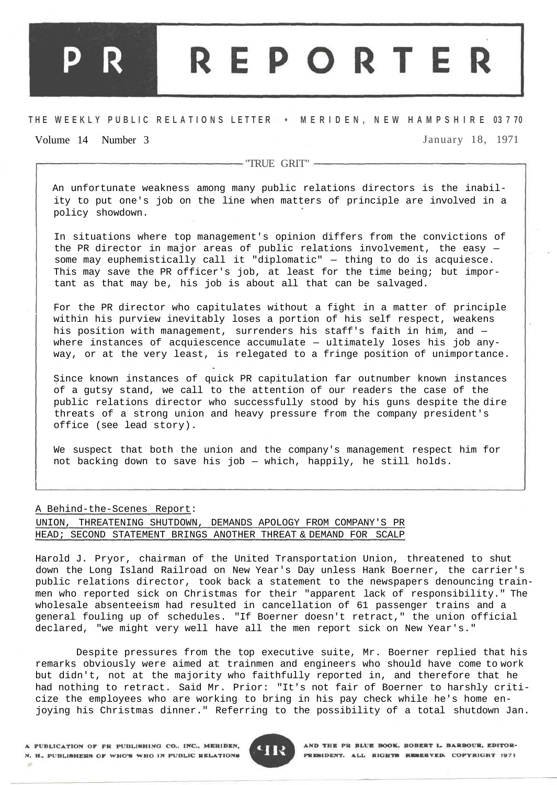## **REPORTER**

## **T H E WEEKL Y PUBLI C RELATION S LETTE R • M E R I D E N , N E W H A M P S H I R E 03 7 70**

## Volume 14 Number 3 January 18, 1971

- "TRUE GRIT" -

An unfortunate weakness among many public relations directors is the inability to put one's job on the line when matters of principle are involved in a policy showdown.

In situations where top management's opinion differs from the convictions of the PR director in major areas of public relations involvement, the easy some may euphemistically call it "diplomatic" — thing to do is acquiesce. This may save the PR officer's job, at least for the time being; but important as that may be, his job is about all that can be salvaged.

For the PR director who capitulates without a fight in a matter of principle within his purview inevitably loses a portion of his self respect, weakens his position with management, surrenders his staff's faith in him, and where instances of acquiescence accumulate — ultimately loses his job anyway, or at the very least, is relegated to a fringe position of unimportance.

Since known instances of quick PR capitulation far outnumber known instances of a gutsy stand, we call to the attention of our readers the case of the public relations director who successfully stood by his guns despite the dire threats of a strong union and heavy pressure from the company president's office (see lead story).

We suspect that both the union and the company's management respect him for not backing down to save his job — which, happily, he still holds.

## A Behind-the-Scenes Report:

UNION, THREATENING SHUTDOWN, DEMANDS APOLOGY FROM COMPANY'S PR HEAD; SECOND STATEMENT BRINGS ANOTHER THREAT & DEMAND FOR SCALP

Harold J. Pryor, chairman of the United Transportation Union, threatened to shut down the Long Island Railroad on New Year's Day unless Hank Boerner, the carrier's public relations director, took back a statement to the newspapers denouncing trainmen who reported sick on Christmas for their "apparent lack of responsibility." The wholesale absenteeism had resulted in cancellation of 61 passenger trains and a general fouling up of schedules. "If Boerner doesn't retract," the union official declared, "we might very well have all the men report sick on New Year's."

Despite pressures from the top executive suite, Mr. Boerner replied that his remarks obviously were aimed at trainmen and engineers who should have come to work but didn't, not at the majority who faithfully reported in, and therefore that he had nothing to retract. Said Mr. Prior: "It's not fair of Boerner to harshly criticize the employees who are working to bring in his pay check while he's home enjoying his Christmas dinner." Referring to the possibility of a total shutdown Jan.